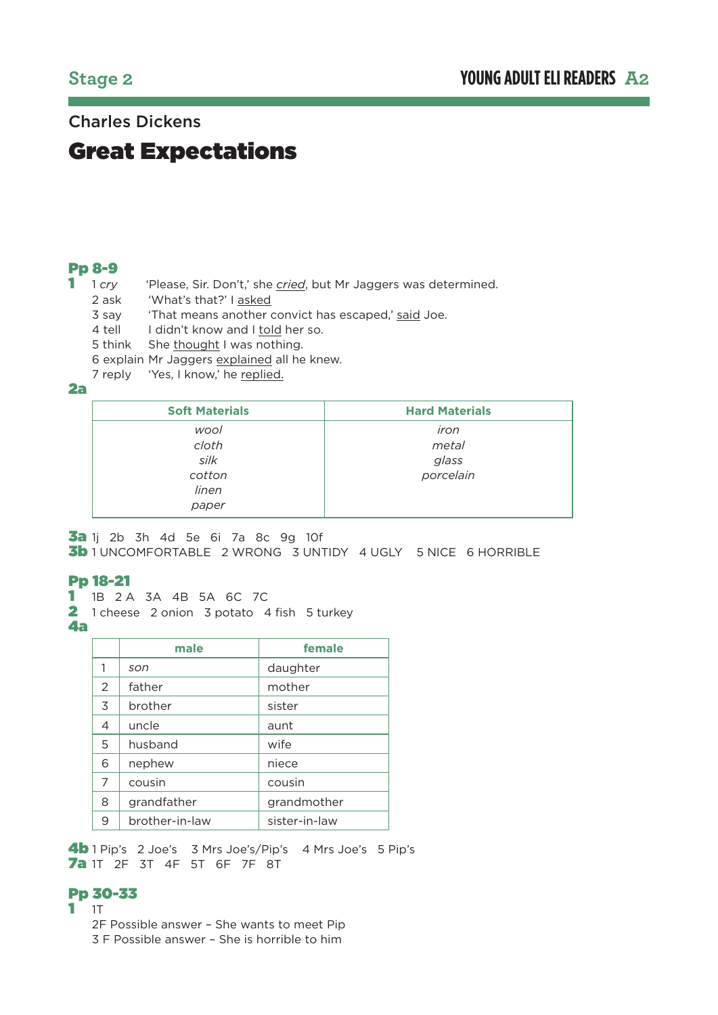## Charles Dickens

# Great Expectations

## Pp 8-9

- 1 1 *cry* 'Please, Sir. Don't,' she *cried*, but Mr Jaggers was determined.
	- 2 ask 'What's that?' I asked
	- 3 sav That means another convict has escaped,' said Joe.
	- 4 tell I didn't know and I told her so.
	- 5 think She thought I was nothing.
	- 6 explain Mr Jaggers explained all he knew.
	- 7 reply 'Yes, I know,' he replied.

#### 2a

| <b>Soft Materials</b> | <b>Hard Materials</b> |
|-----------------------|-----------------------|
| wool<br>cloth         | iron<br>metal         |
| silk                  | glass                 |
| cotton<br>linen       | porcelain             |
| paper                 |                       |

3a 1j 2b 3h 4d 5e 6i 7a 8c 9g 10f

**3b** 1 UNCOMFORTABLE 2 WRONG 3 UNTIDY 4 UGLY 5 NICE 6 HORRIBLE

## Pp 18-21

- 1 1B 2 A 3A 4B 5A 6C 7C
- 2 1 cheese 2 onion 3 potato 4 fish 5 turkey
- 4a

|   | male           | female        |
|---|----------------|---------------|
| 1 | son            | daughter      |
| 2 | father         | mother        |
| 3 | brother        | sister        |
| 4 | uncle          | aunt          |
| 5 | husband        | wife          |
| 6 | nephew         | niece         |
| 7 | cousin         | cousin        |
| 8 | grandfather    | grandmother   |
| 9 | brother-in-law | sister-in-law |

4b 1 Pip's 2 Joe's 3 Mrs Joe's/Pip's 4 Mrs Joe's 5 Pip's 7a 1T 2F 3T 4F 5T 6F 7F 8T

#### Pp 30-33

1 1T

2F Possible answer – She wants to meet Pip

3 F Possible answer – She is horrible to him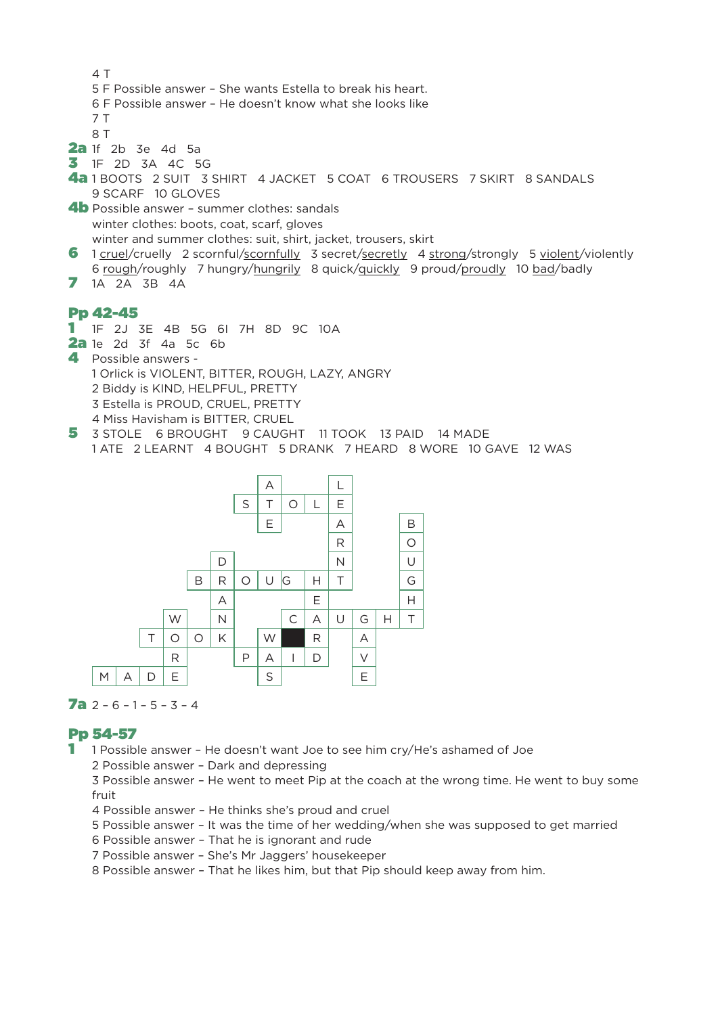```
4 T
   5 F Possible answer – She wants Estella to break his heart.
   6 F Possible answer – He doesn't know what she looks like
   7 T
   8 T
2a 1f 2b 3e 4d 5a
3 1F 2D 3A 4C 5G
4a 1 BOOTS 2 SUIT 3 SHIRT 4 JACKET 5 COAT 6 TROUSERS 7 SKIRT 8 SANDALS
   9 SCARF 10 GLOVES
4b Possible answer - summer clothes: sandals
   winter clothes: boots, coat, scarf, gloves
   winter and summer clothes: suit, shirt, jacket, trousers, skirt
6 1 cruel/cruelly 2 scornful/scornfully 3 secret/secretly 4 strong/strongly 5 violent/violently
   6 rough/roughly 7 hungry/hungrily 8 quick/quickly 9 proud/proudly 10 bad/badly
```
71A 2A 3B 4A

## Pp 42-45

- 1 1F 2J 3E 4B 5G 6I 7H 8D 9C 10A
- 2a 1e 2d 3f 4a 5c 6b
- 4 Possible answers 1 Orlick is VIOLENT, BITTER, ROUGH, LAZY, ANGRY 2 Biddy is KIND, HELPFUL, PRETTY 3 Estella is PROUD, CRUEL, PRETTY 4 Miss Havisham is BITTER, CRUEL
- 5 3 STOLE 6 BROUGHT 9 CAUGHT 11 TOOK 13 PAID 14 MADE 1 ATE 2 LEARNT 4 BOUGHT 5 DRANK 7 HEARD 8 WORE 10 GAVE 12 WAS



#### **7a**  $2 - 6 - 1 - 5 - 3 - 4$

## Pp 54-57

- 1 1 Possible answer He doesn't want Joe to see him cry/He's ashamed of Joe
	- 2 Possible answer Dark and depressing

3 Possible answer – He went to meet Pip at the coach at the wrong time. He went to buy some fruit

- 4 Possible answer He thinks she's proud and cruel
- 5 Possible answer It was the time of her wedding/when she was supposed to get married
- 6 Possible answer That he is ignorant and rude
- 7 Possible answer She's Mr Jaggers' housekeeper

8 Possible answer – That he likes him, but that Pip should keep away from him.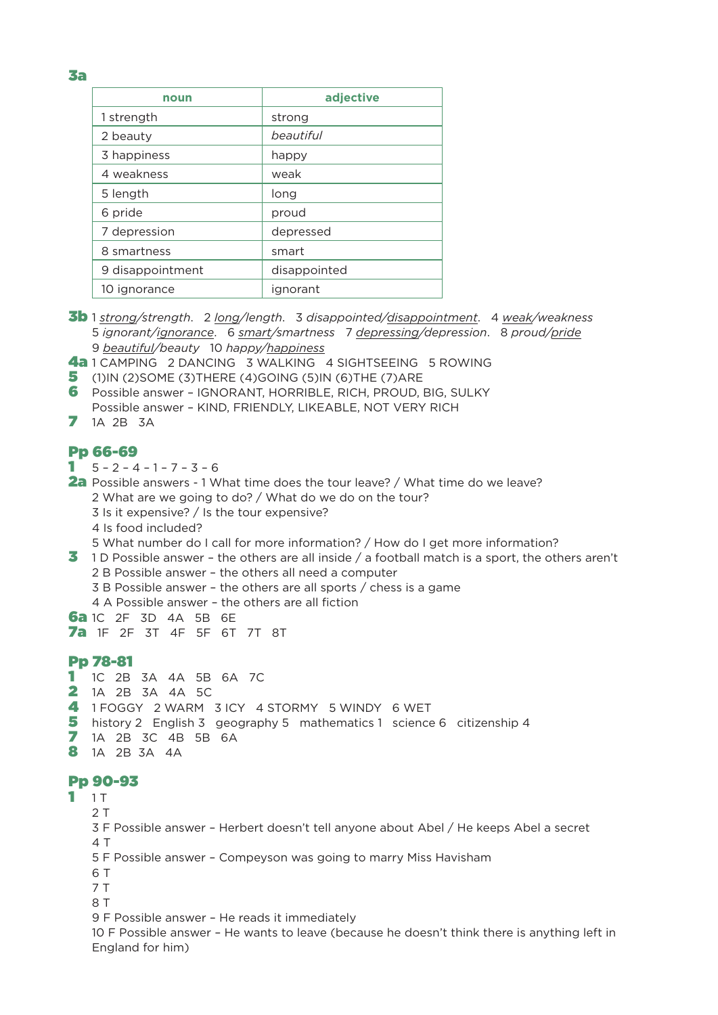3a

| noun             | adjective    |  |  |
|------------------|--------------|--|--|
| 1 strength       | strong       |  |  |
| 2 beauty         | beautiful    |  |  |
| 3 happiness      | happy        |  |  |
| 4 weakness       | weak         |  |  |
| 5 length         | long         |  |  |
| 6 pride          | proud        |  |  |
| 7 depression     | depressed    |  |  |
| 8 smartness      | smart        |  |  |
| 9 disappointment | disappointed |  |  |
| 10 ignorance     | ignorant     |  |  |

- 3b 1 *strong/strength*. 2 *long/length*. 3 *disappointed/disappointment*. 4 *weak/weakness* 5 *ignorant/ignorance*. 6 *smart/smartness* 7 *depressing/depression*. 8 *proud/pride* 9 *beautiful/beauty* 10 *happy/happiness*
- 4a 1 CAMPING 2 DANCING 3 WALKING 4 SIGHTSEEING 5 ROWING
- 5(1)IN (2)SOME (3)THERE (4)GOING (5)IN (6)THE (7)ARE
- 6 Possible answer IGNORANT, HORRIBLE, RICH, PROUD, BIG, SULKY Possible answer – KIND, FRIENDLY, LIKEABLE, NOT VERY RICH
- 7 1A 2B 3A

#### Pp 66-69

- $1 5 2 4 1 7 3 6$
- 2a Possible answers 1 What time does the tour leave? / What time do we leave? 2 What are we going to do? / What do we do on the tour? 3 Is it expensive? / Is the tour expensive?
	- 4 Is food included?
	- 5 What number do I call for more information? / How do I get more information?
- 3 1 D Possible answer the others are all inside / a football match is a sport, the others aren't 2 B Possible answer – the others all need a computer
	- 3 B Possible answer the others are all sports / chess is a game
		- 4 A Possible answer the others are all fiction
- 6a 1C 2F 3D 4A 5B 6E
- 7a 1F 2F 3T 4F 5F 6T 7T 8T

#### Pp 78-81

- 11C 2B 3A 4A 5B 6A 7C
- 2 1A 2B 3A 4A 5C
- 4 1 FOGGY 2 WARM 3 ICY 4 STORMY 5 WINDY 6 WET
- 5 history 2 English 3 geography 5 mathematics 1 science 6 citizenship 4
- 71A 2B 3C 4B 5B 6A
- 8 1A 2B 3A 4A

## Pp 90-93

- $11$ 
	- 2 T
	- 3 F Possible answer Herbert doesn't tell anyone about Abel / He keeps Abel a secret  $4T$
	- 5 F Possible answer Compeyson was going to marry Miss Havisham
	- 6 T
	- 7 T
	- 8 T

9 F Possible answer – He reads it immediately

10 F Possible answer – He wants to leave (because he doesn't think there is anything left in England for him)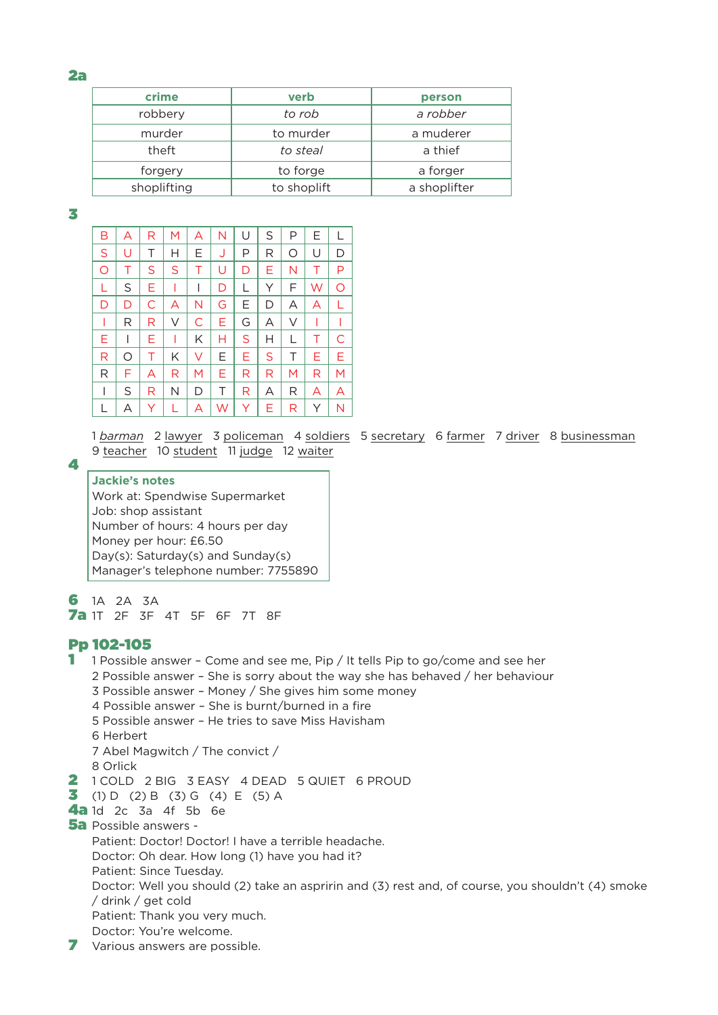#### 2a

| crime       | verb        | person       |  |  |
|-------------|-------------|--------------|--|--|
| robbery     | to rob      | a robber     |  |  |
| murder      | to murder   | a muderer    |  |  |
| theft       | to steal    | a thief      |  |  |
| forgery     | to forge    | a forger     |  |  |
| shoplifting | to shoplift | a shoplifter |  |  |

3

4

| В | A | R | M | A | N | U  | S | Ρ | Е  |   |
|---|---|---|---|---|---|----|---|---|----|---|
| S | U | Τ | Н | E | J | P  | R | O | U  | D |
| O | Τ | S | S | Τ | U | D  | Е | N | Τ  | P |
| L | S | Е | I | I | D | L  | Υ | F | W  | O |
| D | D | С | Α | N | G | E. | D | Α | A  |   |
| I | R | R | V | C | Е | G  | Α | V |    |   |
| Ε | I | Ε | I | Κ | Н | S  | н | L | Τ  | С |
| R | O | Τ | Κ | V | Е | Е. | S | Τ | E. | E |
| R | F | A | R | M | Е | R  | R | M | R  | M |
| I | S | R | N | D | Τ | R  | А | R | A  | A |
|   | Α | Υ | L | А | W | Y  | Е | R | Υ  | N |

1 *barman* 2 lawyer 3 policeman 4 soldiers 5 secretary 6 farmer 7 driver 8 businessman 9 teacher 10 student 11 judge 12 waiter

#### **Jackie's notes** Work at: Spendwise Supermarket Job: shop assistant Number of hours: 4 hours per day Money per hour: £6.50 Day(s): Saturday(s) and Sunday(s) Manager's telephone number: 7755890

61A 2A 3A 7a 1T 2F 3F 4T 5F 6F 7T 8F

## Pp 102-105

1 1 Possible answer - Come and see me, Pip / It tells Pip to go/come and see her 2 Possible answer – She is sorry about the way she has behaved / her behaviour 3 Possible answer – Money / She gives him some money 4 Possible answer – She is burnt/burned in a fire 5 Possible answer – He tries to save Miss Havisham 6 Herbert 7 Abel Magwitch / The convict / 8 Orlick 2 1 COLD 2 BIG 3 EASY 4 DEAD 5 QUIET 6 PROUD **3** (1) D (2) B (3) G (4) E (5) A 4a 1d 2c 3a 4f 5b 6e 5a Possible answers - Patient: Doctor! Doctor! I have a terrible headache. Doctor: Oh dear. How long (1) have you had it? Patient: Since Tuesday. Doctor: Well you should (2) take an aspririn and (3) rest and, of course, you shouldn't (4) smoke / drink / get cold Patient: Thank you very much. Doctor: You're welcome. 7 Various answers are possible.